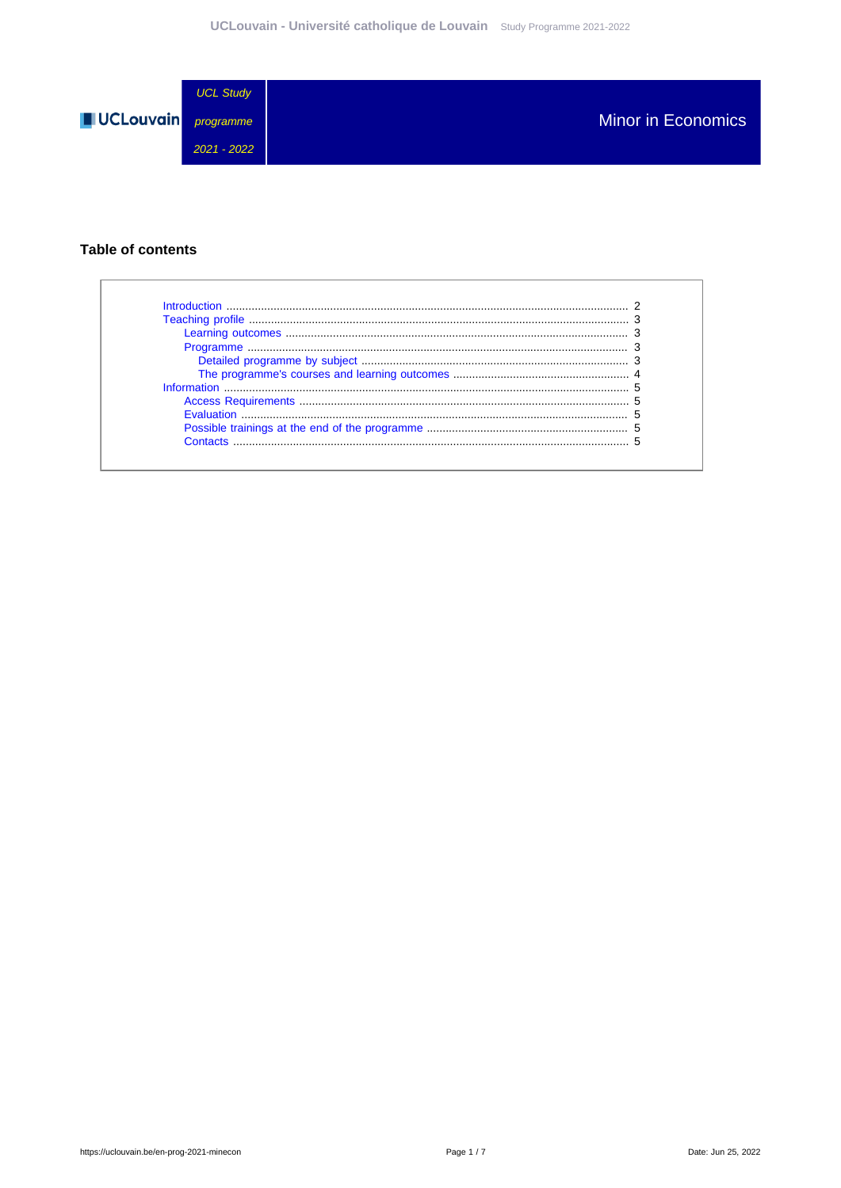

## **Table of contents**

| Introduction              |  |
|---------------------------|--|
|                           |  |
|                           |  |
|                           |  |
|                           |  |
|                           |  |
|                           |  |
|                           |  |
| <b>Evaluation Example</b> |  |
|                           |  |
| Contacts                  |  |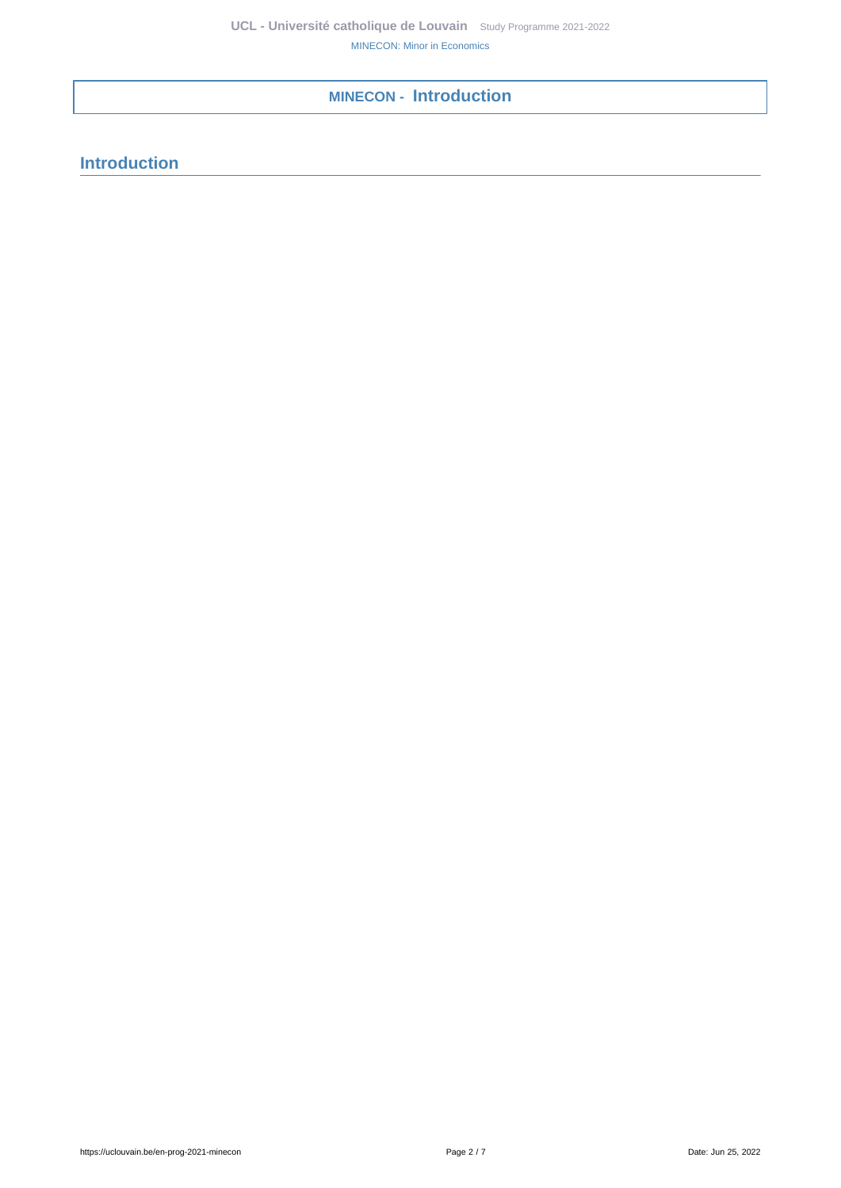**MINECON - Introduction**

<span id="page-1-0"></span>**Introduction**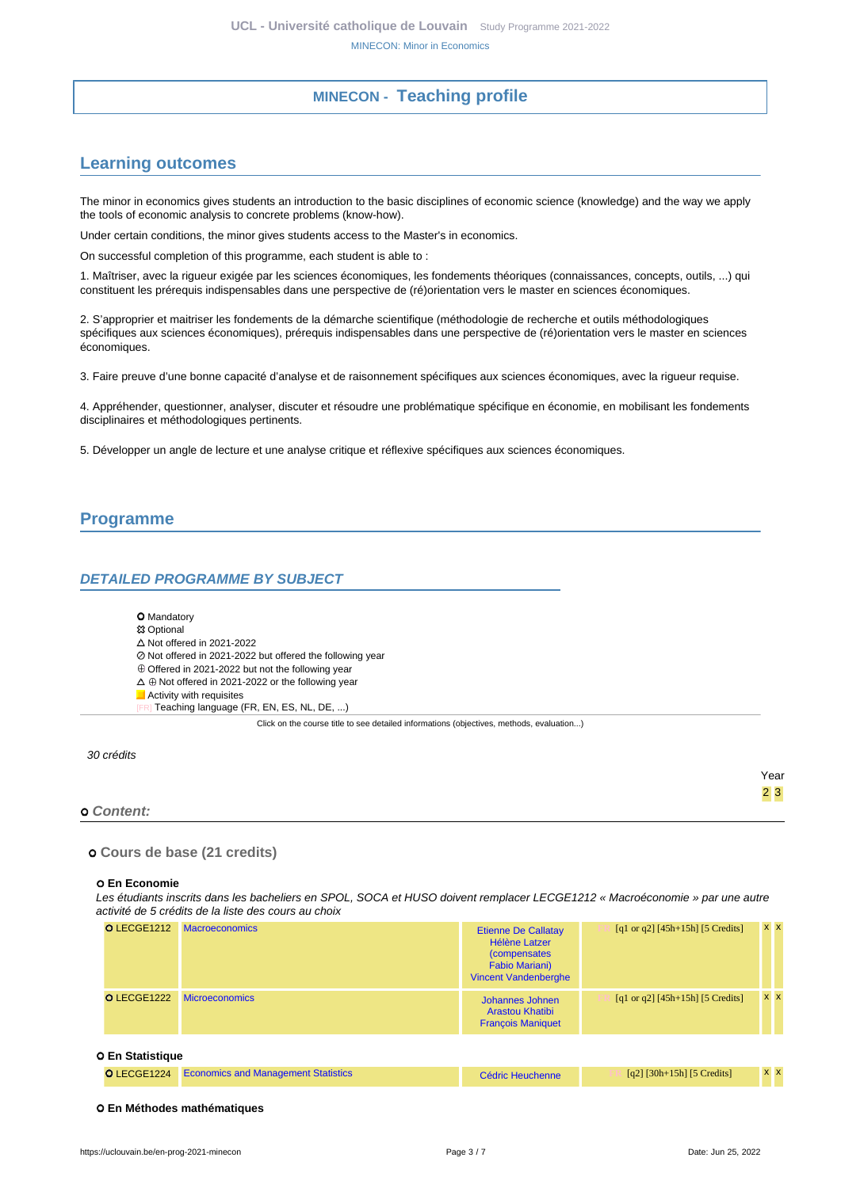## **MINECON - Teaching profile**

## <span id="page-2-1"></span><span id="page-2-0"></span>**Learning outcomes**

The minor in economics gives students an introduction to the basic disciplines of economic science (knowledge) and the way we apply the tools of economic analysis to concrete problems (know-how).

Under certain conditions, the minor gives students access to the Master's in economics.

On successful completion of this programme, each student is able to :

1. Maîtriser, avec la rigueur exigée par les sciences économiques, les fondements théoriques (connaissances, concepts, outils, ...) qui constituent les prérequis indispensables dans une perspective de (ré)orientation vers le master en sciences économiques.

2. S'approprier et maitriser les fondements de la démarche scientifique (méthodologie de recherche et outils méthodologiques spécifiques aux sciences économiques), prérequis indispensables dans une perspective de (ré)orientation vers le master en sciences économiques.

3. Faire preuve d'une bonne capacité d'analyse et de raisonnement spécifiques aux sciences économiques, avec la rigueur requise.

4. Appréhender, questionner, analyser, discuter et résoudre une problématique spécifique en économie, en mobilisant les fondements disciplinaires et méthodologiques pertinents.

5. Développer un angle de lecture et une analyse critique et réflexive spécifiques aux sciences économiques.

## <span id="page-2-2"></span>**Programme**

### <span id="page-2-3"></span>**DETAILED PROGRAMME BY SUBJECT**

#### **O** Mandatory

#### **83 Optional**

- $\triangle$  Not offered in 2021-2022
- Not offered in 2021-2022 but offered the following year
- $\oplus$  Offered in 2021-2022 but not the following year
- $\Delta \oplus$  Not offered in 2021-2022 or the following year
- **Activity with requisites** 
	- Teaching language (FR, EN, ES, NL, DE, ...)

Click on the course title to see detailed informations (objectives, methods, evaluation...)

#### 30 crédits

#### **Content:**

 **Cours de base (21 credits)**

#### **En Economie**

Les étudiants inscrits dans les bacheliers en SPOL, SOCA et HUSO doivent remplacer LECGE1212 « Macroéconomie » par une autre activité de 5 crédits de la liste des cours au choix

| <b>O</b> LECGE1212 | <b>Macroeconomics</b> | <b>Etienne De Callatay</b><br><b>Hélène Latzer</b><br><i>(compensates)</i><br><b>Fabio Mariani)</b><br><b>Vincent Vandenberghe</b> | [q1 or q2] $[45h+15h]$ [5 Credits] | $x \times$ |
|--------------------|-----------------------|------------------------------------------------------------------------------------------------------------------------------------|------------------------------------|------------|
| <b>O</b> LECGE1222 | <b>Microeconomics</b> | Johannes Johnen<br><b>Arastou Khatibi</b><br><b>François Maniquet</b>                                                              | [q1 or q2] $[45h+15h]$ [5 Credits] | $x \times$ |

#### **En Statistique**

|  | <b>O</b> LECGE1224 Economics and Management Statistics | Cédric Heuchenne | $[q2]$ [30h+15h] [5 Credits] | <b>XX</b> |  |
|--|--------------------------------------------------------|------------------|------------------------------|-----------|--|
|--|--------------------------------------------------------|------------------|------------------------------|-----------|--|

#### **En Méthodes mathématiques**

Year 2 3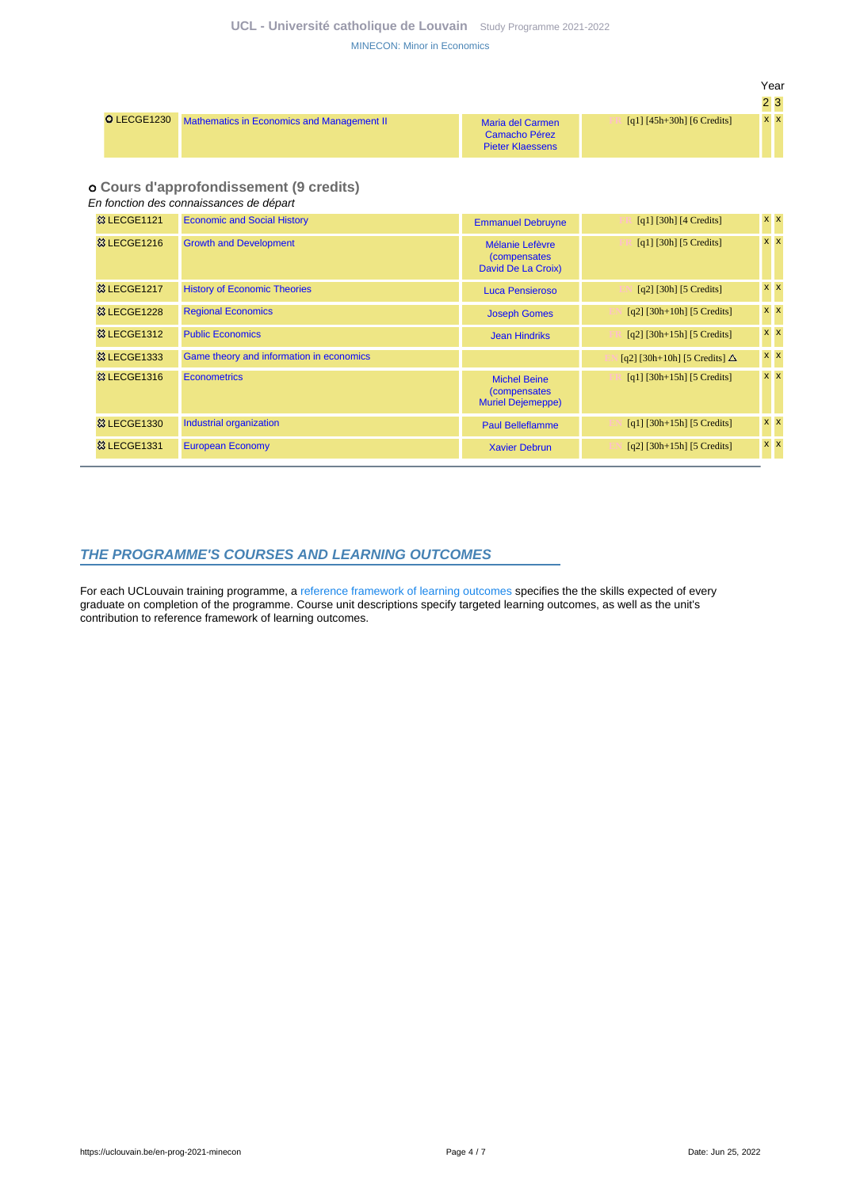Year  $2<sup>2</sup>$ 

|                                                        |                                                              |                            | 25.       |  |
|--------------------------------------------------------|--------------------------------------------------------------|----------------------------|-----------|--|
| O LECGE1230 Mathematics in Economics and Management II | Maria del Carmen<br>Camacho Pérez<br><b>Pieter Klaessens</b> | [q1] [45h+30h] [6 Credits] | <b>XX</b> |  |

### **Cours d'approfondissement (9 credits)**

En fonction des connaissances de départ

| <b>&amp; LECGE1121</b> | <b>Economic and Social History</b>       | <b>Emmanuel Debruyne</b>                                         | $[q1]$ [30h] [4 Credits]              | <b>x</b> x |
|------------------------|------------------------------------------|------------------------------------------------------------------|---------------------------------------|------------|
| <b>&amp; LECGE1216</b> | <b>Growth and Development</b>            | Mélanie Lefèvre<br><i>(compensates)</i><br>David De La Croix)    | $\lceil q_1 \rceil$ [30h] [5 Credits] | $x \times$ |
| <b>&amp; LECGE1217</b> | <b>History of Economic Theories</b>      | Luca Pensieroso                                                  | $[q2]$ [30h] [5 Credits]              | $x \times$ |
| <b>83 LECGE1228</b>    | <b>Regional Economics</b>                | <b>Joseph Gomes</b>                                              | $[q2]$ [30h+10h] [5 Credits]          | $x \mid x$ |
| <b>&amp; LECGE1312</b> | <b>Public Economics</b>                  | <b>Jean Hindriks</b>                                             | $[q2]$ [30h+15h] [5 Credits]          | $x \, x$   |
| <b>&amp; LECGE1333</b> | Game theory and information in economics |                                                                  | [q2] [30h+10h] [5 Credits] $\Delta$   | $x \times$ |
| <b>&amp; LECGE1316</b> | <b>Econometrics</b>                      | <b>Michel Beine</b><br>(compensates)<br><b>Muriel Dejemeppe)</b> | $[q1]$ [30h+15h] [5 Credits]          | $x \times$ |
| <b>&amp; LECGE1330</b> | Industrial organization                  | <b>Paul Belleflamme</b>                                          | [q1] $[30h+15h]$ [5 Credits]          | $x \times$ |
| <b>&amp; LECGE1331</b> | <b>European Economy</b>                  | <b>Xavier Debrun</b>                                             | $[q2]$ [30h+15h] [5 Credits]          | $x \times$ |

## <span id="page-3-0"></span>**THE PROGRAMME'S COURSES AND LEARNING OUTCOMES**

For each UCLouvain training programme, a [reference framework of learning outcomes](https://uclouvain.be/en-prog-2021-minecon-competences_et_acquis.html) specifies the the skills expected of every graduate on completion of the programme. Course unit descriptions specify targeted learning outcomes, as well as the unit's contribution to reference framework of learning outcomes.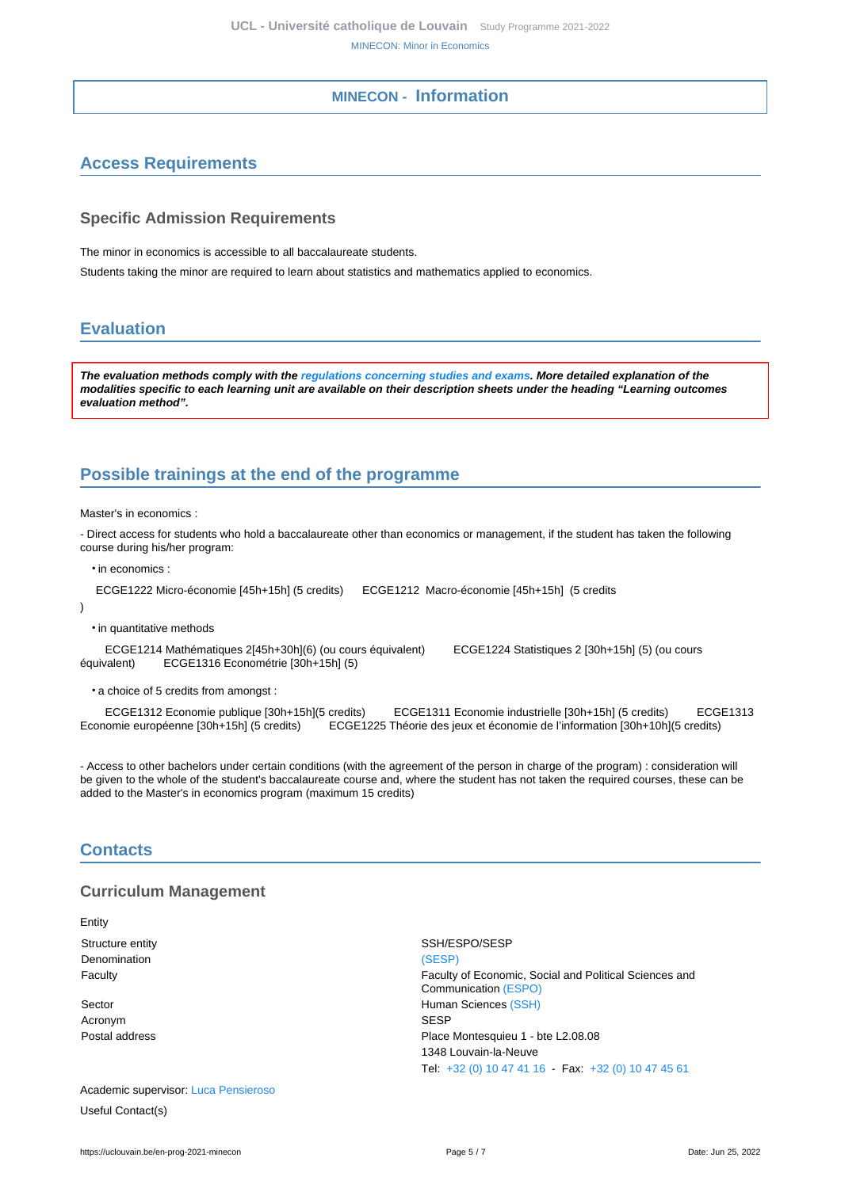## **MINECON - Information**

# <span id="page-4-1"></span><span id="page-4-0"></span>**Access Requirements**

## **Specific Admission Requirements**

The minor in economics is accessible to all baccalaureate students.

Students taking the minor are required to learn about statistics and mathematics applied to economics.

## <span id="page-4-2"></span>**Evaluation**

**The evaluation methods comply with the [regulations concerning studies and exams](https://uclouvain.be/fr/decouvrir/rgee.html). More detailed explanation of the modalities specific to each learning unit are available on their description sheets under the heading "Learning outcomes evaluation method".**

# <span id="page-4-3"></span>**Possible trainings at the end of the programme**

Master's in economics :

- Direct access for students who hold a baccalaureate other than economics or management, if the student has taken the following course during his/her program:

• in economics :

ECGE1222 Micro-économie [45h+15h] (5 credits) ECGE1212 Macro-économie [45h+15h] (5 credits

)

• in quantitative methods

 ECGE1214 Mathématiques 2[45h+30h](6) (ou cours équivalent) ECGE1224 Statistiques 2 [30h+15h] (5) (ou cours équivalent) ECGE1316 Econométrie [30h+15h] (5)

• a choice of 5 credits from amongst :

ECGE1312 Economie publique [30h+15h](5 credits) ECGE1311 Economie industrielle [30h+15h] (5 credits) ECGE1313<br>Economie européenne [30h+15h] (5 credits) ECGE1225 Théorie des jeux et économie de l'information [30h+10h](5 cre ECGE1225 Théorie des jeux et économie de l'information [30h+10h](5 credits)

- Access to other bachelors under certain conditions (with the agreement of the person in charge of the program) : consideration will be given to the whole of the student's baccalaureate course and, where the student has not taken the required courses, these can be added to the Master's in economics program (maximum 15 credits)

## <span id="page-4-4"></span>**Contacts**

### **Curriculum Management**

Entity

Denomination [\(SESP\)](https://uclouvain.be/repertoires/entites/sesp)

Acronym SESP

Academic supervisor: [Luca Pensieroso](https://uclouvain.be/repertoires/luca.pensieroso) Useful Contact(s)

Structure entity SSH/ESPO/SESP Faculty Faculty of Economic, Social and Political Sciences and Communication [\(ESPO\)](https://uclouvain.be/repertoires/entites/espo) Sector **Human Sciences** [\(SSH\)](https://uclouvain.be/repertoires/entites/ssh) Postal address **Postal address Place Montesquieu 1 - bte L2.08.08** 1348 Louvain-la-Neuve Tel: [+32 \(0\) 10 47 41 16](https://uclouvain.be/tel:+3210474116) - Fax: [+32 \(0\) 10 47 45 61](https://uclouvain.be/tel:+3210474561)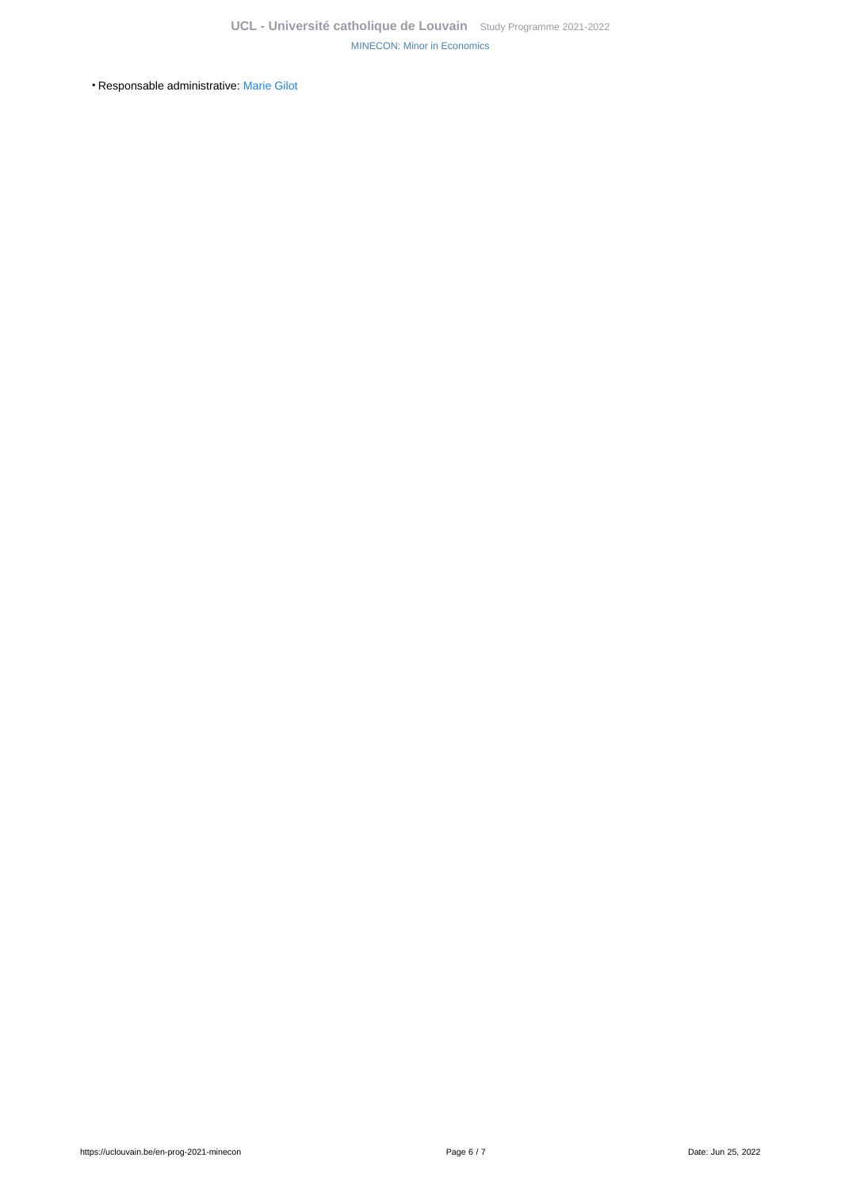• Responsable administrative: [Marie Gilot](https://uclouvain.be/repertoires/marie.gilot)